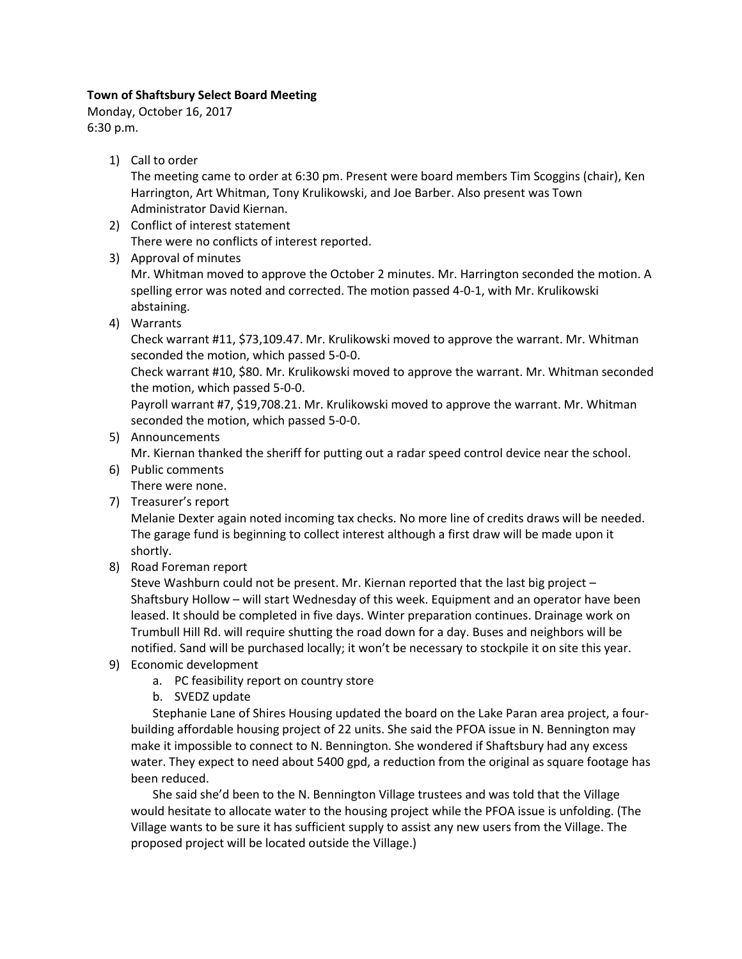## **Town of Shaftsbury Select Board Meeting**

Monday, October 16, 2017 6:30 p.m.

1) Call to order

The meeting came to order at 6:30 pm. Present were board members Tim Scoggins (chair), Ken Harrington, Art Whitman, Tony Krulikowski, and Joe Barber. Also present was Town Administrator David Kiernan.

- 2) Conflict of interest statement There were no conflicts of interest reported.
- 3) Approval of minutes

Mr. Whitman moved to approve the October 2 minutes. Mr. Harrington seconded the motion. A spelling error was noted and corrected. The motion passed 4-0-1, with Mr. Krulikowski abstaining.

4) Warrants

Check warrant #11, \$73,109.47. Mr. Krulikowski moved to approve the warrant. Mr. Whitman seconded the motion, which passed 5-0-0.

Check warrant #10, \$80. Mr. Krulikowski moved to approve the warrant. Mr. Whitman seconded the motion, which passed 5-0-0.

Payroll warrant #7, \$19,708.21. Mr. Krulikowski moved to approve the warrant. Mr. Whitman seconded the motion, which passed 5-0-0.

5) Announcements

Mr. Kiernan thanked the sheriff for putting out a radar speed control device near the school.

6) Public comments

There were none.

7) Treasurer's report

Melanie Dexter again noted incoming tax checks. No more line of credits draws will be needed. The garage fund is beginning to collect interest although a first draw will be made upon it shortly.

8) Road Foreman report

Steve Washburn could not be present. Mr. Kiernan reported that the last big project – Shaftsbury Hollow – will start Wednesday of this week. Equipment and an operator have been leased. It should be completed in five days. Winter preparation continues. Drainage work on Trumbull Hill Rd. will require shutting the road down for a day. Buses and neighbors will be notified. Sand will be purchased locally; it won't be necessary to stockpile it on site this year.

- 9) Economic development
	- a. PC feasibility report on country store
	- b. SVEDZ update

Stephanie Lane of Shires Housing updated the board on the Lake Paran area project, a fourbuilding affordable housing project of 22 units. She said the PFOA issue in N. Bennington may make it impossible to connect to N. Bennington. She wondered if Shaftsbury had any excess water. They expect to need about 5400 gpd, a reduction from the original as square footage has been reduced.

She said she'd been to the N. Bennington Village trustees and was told that the Village would hesitate to allocate water to the housing project while the PFOA issue is unfolding. (The Village wants to be sure it has sufficient supply to assist any new users from the Village. The proposed project will be located outside the Village.)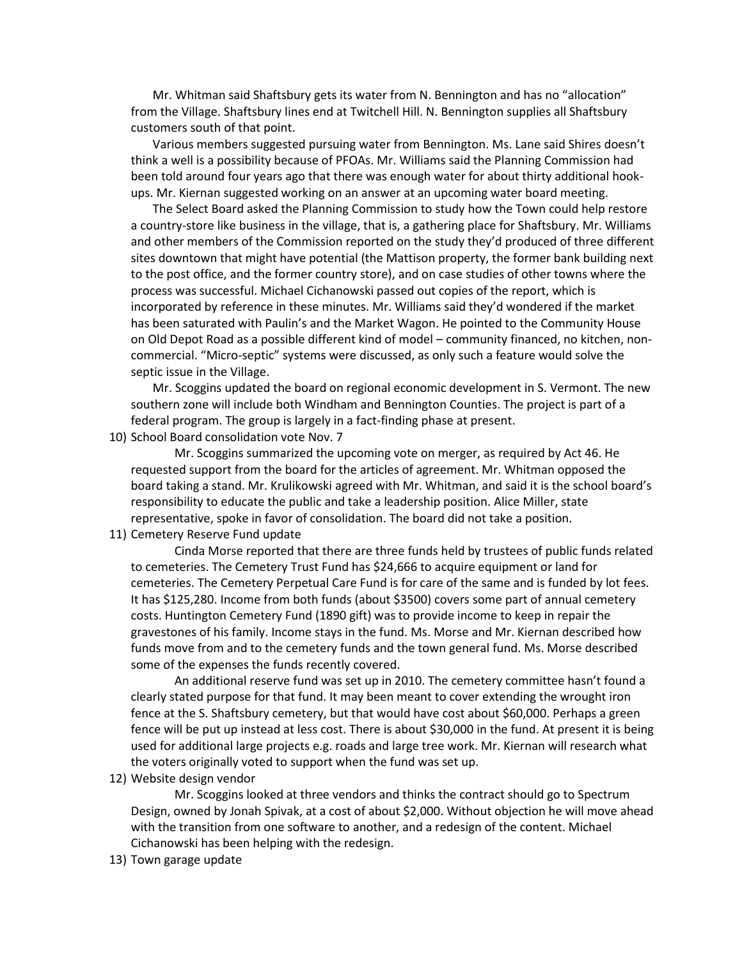Mr. Whitman said Shaftsbury gets its water from N. Bennington and has no "allocation" from the Village. Shaftsbury lines end at Twitchell Hill. N. Bennington supplies all Shaftsbury customers south of that point.

Various members suggested pursuing water from Bennington. Ms. Lane said Shires doesn't think a well is a possibility because of PFOAs. Mr. Williams said the Planning Commission had been told around four years ago that there was enough water for about thirty additional hookups. Mr. Kiernan suggested working on an answer at an upcoming water board meeting.

The Select Board asked the Planning Commission to study how the Town could help restore a country-store like business in the village, that is, a gathering place for Shaftsbury. Mr. Williams and other members of the Commission reported on the study they'd produced of three different sites downtown that might have potential (the Mattison property, the former bank building next to the post office, and the former country store), and on case studies of other towns where the process was successful. Michael Cichanowski passed out copies of the report, which is incorporated by reference in these minutes. Mr. Williams said they'd wondered if the market has been saturated with Paulin's and the Market Wagon. He pointed to the Community House on Old Depot Road as a possible different kind of model – community financed, no kitchen, noncommercial. "Micro-septic" systems were discussed, as only such a feature would solve the septic issue in the Village.

Mr. Scoggins updated the board on regional economic development in S. Vermont. The new southern zone will include both Windham and Bennington Counties. The project is part of a federal program. The group is largely in a fact-finding phase at present.

10) School Board consolidation vote Nov. 7

Mr. Scoggins summarized the upcoming vote on merger, as required by Act 46. He requested support from the board for the articles of agreement. Mr. Whitman opposed the board taking a stand. Mr. Krulikowski agreed with Mr. Whitman, and said it is the school board's responsibility to educate the public and take a leadership position. Alice Miller, state representative, spoke in favor of consolidation. The board did not take a position.

11) Cemetery Reserve Fund update

Cinda Morse reported that there are three funds held by trustees of public funds related to cemeteries. The Cemetery Trust Fund has \$24,666 to acquire equipment or land for cemeteries. The Cemetery Perpetual Care Fund is for care of the same and is funded by lot fees. It has \$125,280. Income from both funds (about \$3500) covers some part of annual cemetery costs. Huntington Cemetery Fund (1890 gift) was to provide income to keep in repair the gravestones of his family. Income stays in the fund. Ms. Morse and Mr. Kiernan described how funds move from and to the cemetery funds and the town general fund. Ms. Morse described some of the expenses the funds recently covered.

An additional reserve fund was set up in 2010. The cemetery committee hasn't found a clearly stated purpose for that fund. It may been meant to cover extending the wrought iron fence at the S. Shaftsbury cemetery, but that would have cost about \$60,000. Perhaps a green fence will be put up instead at less cost. There is about \$30,000 in the fund. At present it is being used for additional large projects e.g. roads and large tree work. Mr. Kiernan will research what the voters originally voted to support when the fund was set up.

12) Website design vendor

Mr. Scoggins looked at three vendors and thinks the contract should go to Spectrum Design, owned by Jonah Spivak, at a cost of about \$2,000. Without objection he will move ahead with the transition from one software to another, and a redesign of the content. Michael Cichanowski has been helping with the redesign.

13) Town garage update